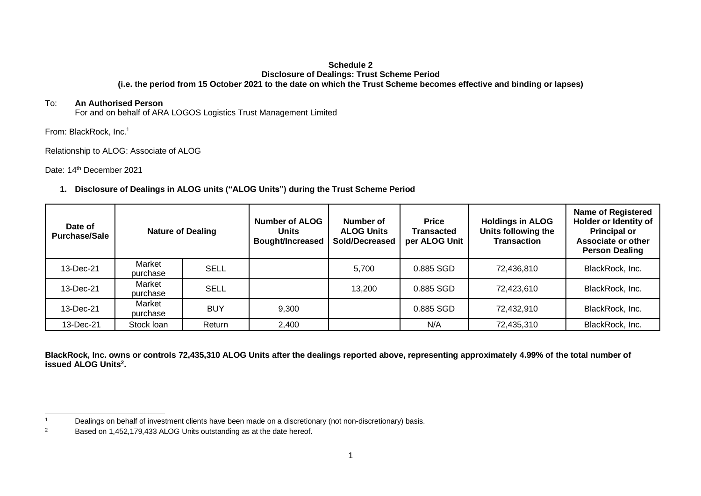## **Schedule 2 Disclosure of Dealings: Trust Scheme Period (i.e. the period from 15 October 2021 to the date on which the Trust Scheme becomes effective and binding or lapses)**

## To: **An Authorised Person**

For and on behalf of ARA LOGOS Logistics Trust Management Limited

From: BlackRock, Inc.<sup>1</sup>

Relationship to ALOG: Associate of ALOG

Date: 14<sup>th</sup> December 2021

## **1. Disclosure of Dealings in ALOG units ("ALOG Units") during the Trust Scheme Period**

| Date of<br><b>Purchase/Sale</b> | <b>Nature of Dealing</b> |             | <b>Number of ALOG</b><br><b>Units</b><br><b>Bought/Increased</b> | Number of<br><b>ALOG Units</b><br>Sold/Decreased | <b>Price</b><br>Transacted<br>per ALOG Unit | <b>Holdings in ALOG</b><br>Units following the<br><b>Transaction</b> | <b>Name of Registered</b><br>Holder or Identity of<br><b>Principal or</b><br>Associate or other<br><b>Person Dealing</b> |
|---------------------------------|--------------------------|-------------|------------------------------------------------------------------|--------------------------------------------------|---------------------------------------------|----------------------------------------------------------------------|--------------------------------------------------------------------------------------------------------------------------|
| 13-Dec-21                       | Market<br>purchase       | <b>SELL</b> |                                                                  | 5,700                                            | 0.885 SGD                                   | 72,436,810                                                           | BlackRock, Inc.                                                                                                          |
| 13-Dec-21                       | Market<br>purchase       | <b>SELL</b> |                                                                  | 13,200                                           | 0.885 SGD                                   | 72.423.610                                                           | BlackRock, Inc.                                                                                                          |
| 13-Dec-21                       | Market<br>purchase       | <b>BUY</b>  | 9,300                                                            |                                                  | 0.885 SGD                                   | 72,432,910                                                           | BlackRock, Inc.                                                                                                          |
| 13-Dec-21                       | Stock loan               | Return      | 2,400                                                            |                                                  | N/A                                         | 72,435,310                                                           | BlackRock, Inc.                                                                                                          |

**BlackRock, Inc. owns or controls 72,435,310 ALOG Units after the dealings reported above, representing approximately 4.99% of the total number of issued ALOG Units<sup>2</sup> .** 

<sup>&</sup>lt;sup>1</sup> Dealings on behalf of investment clients have been made on a discretionary (not non-discretionary) basis.

<sup>&</sup>lt;sup>2</sup> Based on 1,452,179,433 ALOG Units outstanding as at the date hereof.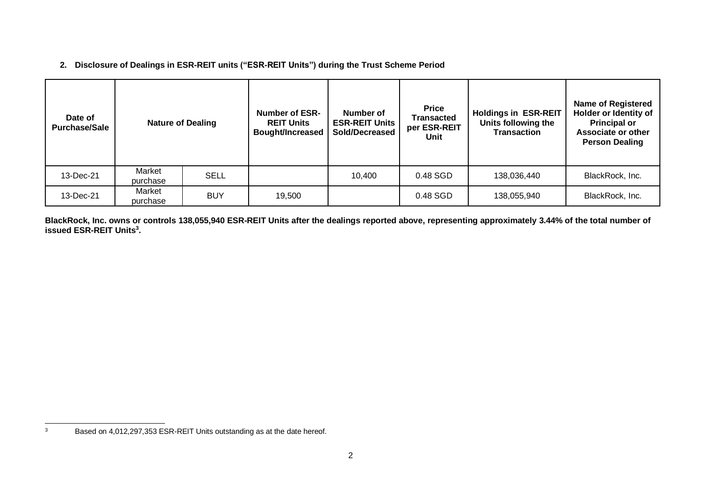**2. Disclosure of Dealings in ESR-REIT units ("ESR-REIT Units") during the Trust Scheme Period**

| Date of<br><b>Purchase/Sale</b> | <b>Nature of Dealing</b> |             | <b>Number of ESR-</b><br><b>REIT Units</b><br><b>Bought/Increased</b> | Number of<br><b>ESR-REIT Units</b><br>Sold/Decreased | <b>Price</b><br>Transacted<br>per ESR-REIT<br>Unit | <b>Holdings in ESR-REIT</b><br>Units following the<br><b>Transaction</b> | <b>Name of Registered</b><br>Holder or Identity of<br><b>Principal or</b><br><b>Associate or other</b><br><b>Person Dealing</b> |
|---------------------------------|--------------------------|-------------|-----------------------------------------------------------------------|------------------------------------------------------|----------------------------------------------------|--------------------------------------------------------------------------|---------------------------------------------------------------------------------------------------------------------------------|
| 13-Dec-21                       | Market<br>purchase       | <b>SELL</b> |                                                                       | 10,400                                               | 0.48 SGD                                           | 138,036,440                                                              | BlackRock, Inc.                                                                                                                 |
| 13-Dec-21                       | Market<br>purchase       | <b>BUY</b>  | 19,500                                                                |                                                      | 0.48 SGD                                           | 138,055,940                                                              | BlackRock, Inc.                                                                                                                 |

**BlackRock, Inc. owns or controls 138,055,940 ESR-REIT Units after the dealings reported above, representing approximately 3.44% of the total number of issued ESR-REIT Units<sup>3</sup> .** 

<sup>3</sup> Based on 4,012,297,353 ESR-REIT Units outstanding as at the date hereof.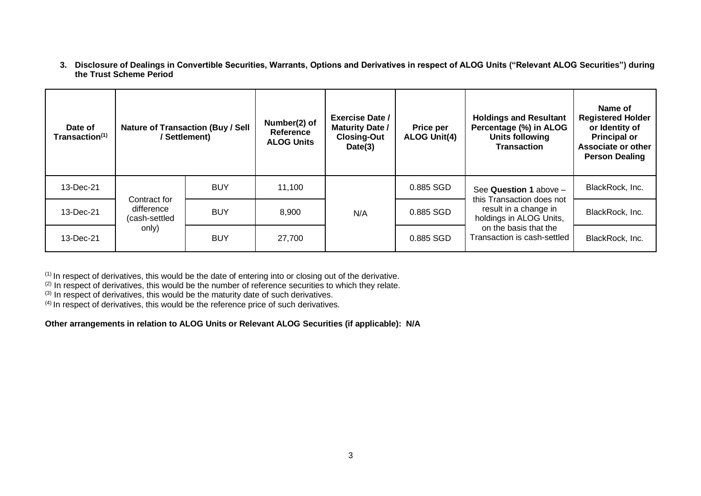**3. Disclosure of Dealings in Convertible Securities, Warrants, Options and Derivatives in respect of ALOG Units ("Relevant ALOG Securities") during the Trust Scheme Period**

| Date of<br>Transaction <sup>(1)</sup> | <b>Nature of Transaction (Buy / Sell</b><br>/Settlement) |            | Number(2) of<br>Reference<br><b>ALOG Units</b> | <b>Exercise Date /</b><br><b>Maturity Date /</b><br><b>Closing-Out</b><br>Date(3) | <b>Price per</b><br><b>ALOG Unit(4)</b> | <b>Holdings and Resultant</b><br>Percentage (%) in ALOG<br><b>Units following</b><br><b>Transaction</b>                                                         | Name of<br><b>Registered Holder</b><br>or Identity of<br><b>Principal or</b><br>Associate or other<br><b>Person Dealing</b> |
|---------------------------------------|----------------------------------------------------------|------------|------------------------------------------------|-----------------------------------------------------------------------------------|-----------------------------------------|-----------------------------------------------------------------------------------------------------------------------------------------------------------------|-----------------------------------------------------------------------------------------------------------------------------|
| 13-Dec-21                             | Contract for<br>difference<br>(cash-settled<br>only)     | <b>BUY</b> | 11,100                                         | N/A                                                                               | 0.885 SGD                               | See Question 1 above -<br>this Transaction does not<br>result in a change in<br>holdings in ALOG Units,<br>on the basis that the<br>Transaction is cash-settled | BlackRock, Inc.                                                                                                             |
| 13-Dec-21                             |                                                          | <b>BUY</b> | 8,900                                          |                                                                                   | 0.885 SGD                               |                                                                                                                                                                 | BlackRock, Inc.                                                                                                             |
| 13-Dec-21                             |                                                          | <b>BUY</b> | 27,700                                         |                                                                                   | 0.885 SGD                               |                                                                                                                                                                 | BlackRock, Inc.                                                                                                             |

 $(1)$  In respect of derivatives, this would be the date of entering into or closing out of the derivative.

 $^{(2)}$  In respect of derivatives, this would be the number of reference securities to which they relate.

(3) In respect of derivatives, this would be the maturity date of such derivatives.

(4) In respect of derivatives, this would be the reference price of such derivatives.

**Other arrangements in relation to ALOG Units or Relevant ALOG Securities (if applicable): N/A**